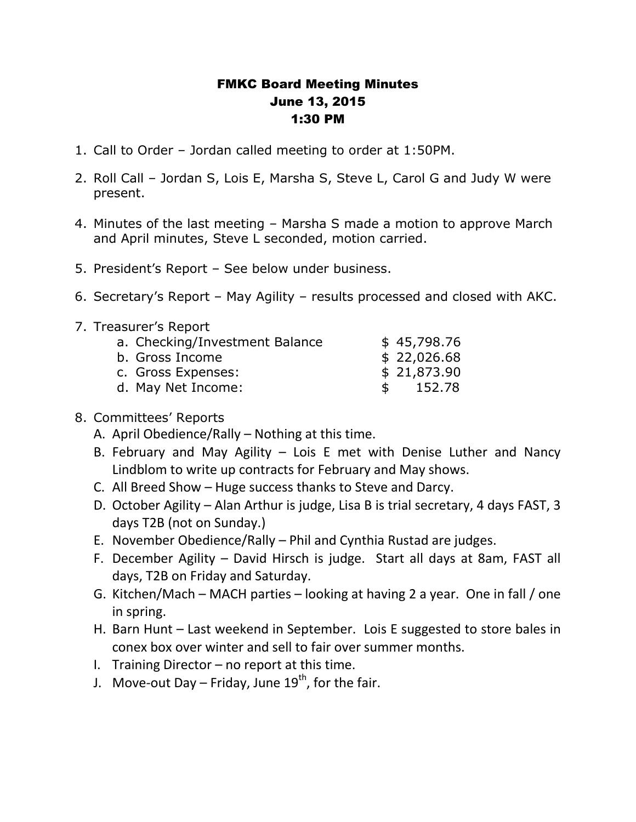## FMKC Board Meeting Minutes June 13, 2015 1:30 PM

- 1. Call to Order Jordan called meeting to order at 1:50PM.
- 2. Roll Call Jordan S, Lois E, Marsha S, Steve L, Carol G and Judy W were present.
- 4. Minutes of the last meeting Marsha S made a motion to approve March and April minutes, Steve L seconded, motion carried.
- 5. President's Report See below under business.
- 6. Secretary's Report May Agility results processed and closed with AKC.
- 7. Treasurer's Report

|  | a. Checking/Investment Balance |               | \$45,798.76 |
|--|--------------------------------|---------------|-------------|
|  | b. Gross Income                |               | \$22,026.68 |
|  | c. Gross Expenses:             |               | \$21,873.90 |
|  | d. May Net Income:             | $\mathcal{L}$ | 152.78      |
|  |                                |               |             |

## 8. Committees' Reports

- A. April Obedience/Rally Nothing at this time.
- B. February and May Agility Lois E met with Denise Luther and Nancy Lindblom to write up contracts for February and May shows.
- C. All Breed Show Huge success thanks to Steve and Darcy.
- D. October Agility Alan Arthur is judge, Lisa B is trial secretary, 4 days FAST, 3 days T2B (not on Sunday.)
- E. November Obedience/Rally Phil and Cynthia Rustad are judges.
- F. December Agility David Hirsch is judge. Start all days at 8am, FAST all days, T2B on Friday and Saturday.
- G. Kitchen/Mach MACH parties looking at having 2 a year. One in fall / one in spring.
- H. Barn Hunt Last weekend in September. Lois E suggested to store bales in conex box over winter and sell to fair over summer months.
- I. Training Director  $-$  no report at this time.
- J. Move-out Day Friday, June  $19^{th}$ , for the fair.